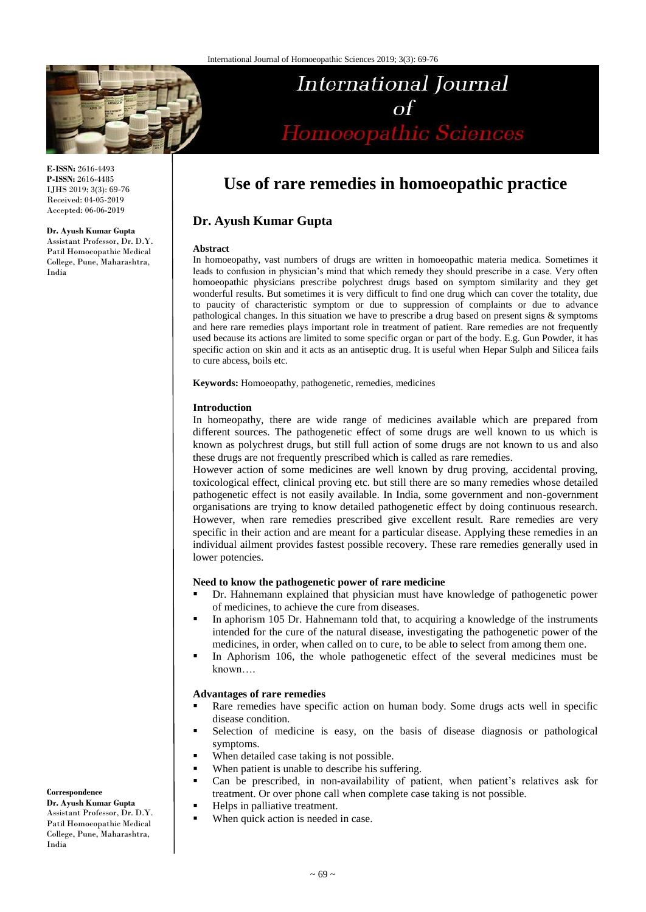

**E-ISSN:** 2616-4493 **P-ISSN:** 2616-4485 IJHS 2019; 3(3): 69-76 Received: 04-05-2019 Accepted: 06-06-2019

# **Dr. Ayush Kumar Gupta**

Assistant Professor, Dr. D.Y. Patil Homoeopathic Medical College, Pune, Maharashtra, India

# International Journal Homoeopathic Sciences

# **Use of rare remedies in homoeopathic practice**

# **Dr. Ayush Kumar Gupta**

#### **Abstract**

In homoeopathy, vast numbers of drugs are written in homoeopathic materia medica. Sometimes it leads to confusion in physician's mind that which remedy they should prescribe in a case. Very often homoeopathic physicians prescribe polychrest drugs based on symptom similarity and they get wonderful results. But sometimes it is very difficult to find one drug which can cover the totality, due to paucity of characteristic symptom or due to suppression of complaints or due to advance pathological changes. In this situation we have to prescribe a drug based on present signs & symptoms and here rare remedies plays important role in treatment of patient. Rare remedies are not frequently used because its actions are limited to some specific organ or part of the body. E.g. Gun Powder, it has specific action on skin and it acts as an antiseptic drug. It is useful when Hepar Sulph and Silicea fails to cure abcess, boils etc.

**Keywords:** Homoeopathy, pathogenetic, remedies, medicines

# **Introduction**

In homeopathy, there are wide range of medicines available which are prepared from different sources. The pathogenetic effect of some drugs are well known to us which is known as polychrest drugs, but still full action of some drugs are not known to us and also these drugs are not frequently prescribed which is called as rare remedies.

However action of some medicines are well known by drug proving, accidental proving, toxicological effect, clinical proving etc. but still there are so many remedies whose detailed pathogenetic effect is not easily available. In India, some government and non-government organisations are trying to know detailed pathogenetic effect by doing continuous research. However, when rare remedies prescribed give excellent result. Rare remedies are very specific in their action and are meant for a particular disease. Applying these remedies in an individual ailment provides fastest possible recovery. These rare remedies generally used in lower potencies.

# **Need to know the pathogenetic power of rare medicine**

- Dr. Hahnemann explained that physician must have knowledge of pathogenetic power of medicines, to achieve the cure from diseases.
- In aphorism 105 Dr. Hahnemann told that, to acquiring a knowledge of the instruments intended for the cure of the natural disease, investigating the pathogenetic power of the medicines, in order, when called on to cure, to be able to select from among them one.
- In Aphorism 106, the whole pathogenetic effect of the several medicines must be known….

# **Advantages of rare remedies**

- Rare remedies have specific action on human body. Some drugs acts well in specific disease condition.
- Selection of medicine is easy, on the basis of disease diagnosis or pathological symptoms.
- When detailed case taking is not possible.
- When patient is unable to describe his suffering.
- Can be prescribed, in non-availability of patient, when patient's relatives ask for treatment. Or over phone call when complete case taking is not possible.
- Helps in palliative treatment.
- When quick action is needed in case.

**Correspondence**

**Dr. Ayush Kumar Gupta**  Assistant Professor, Dr. D.Y. Patil Homoeopathic Medical College, Pune, Maharashtra, India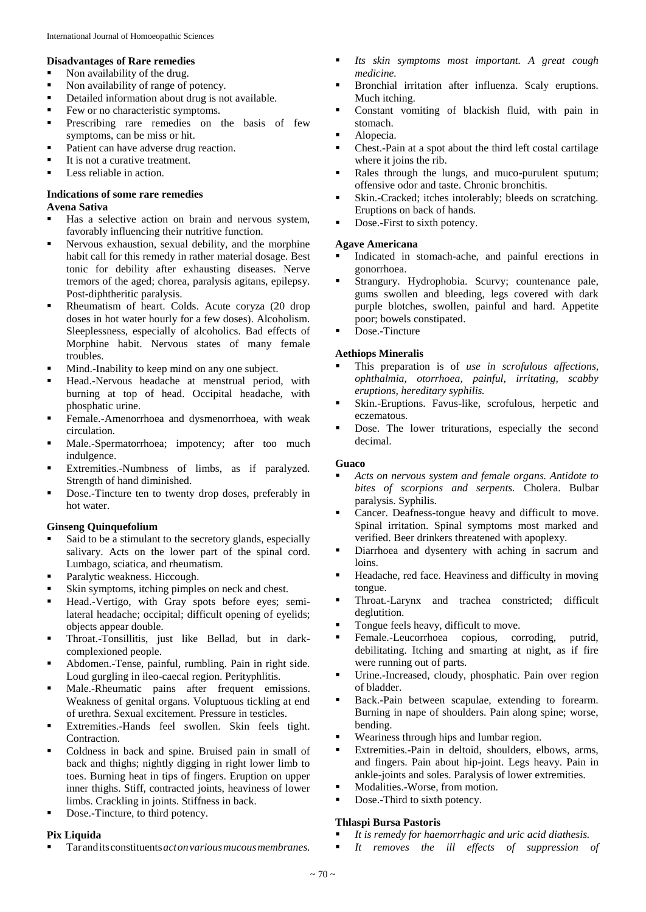#### **Disadvantages of Rare remedies**

- Non availability of the drug.
- Non availability of range of potency.
- Detailed information about drug is not available.
- Few or no characteristic symptoms.
- **Prescribing rare remedies on the basis of few** symptoms, can be miss or hit.
- Patient can have adverse drug reaction.
- It is not a curative treatment.
- Less reliable in action.

# **Indications of some rare remedies**

# **Avena Sativa**

- Has a selective action on brain and nervous system, favorably influencing their nutritive function.
- Nervous exhaustion, sexual debility, and the morphine habit call for this remedy in rather material dosage. Best tonic for debility after exhausting diseases. Nerve tremors of the aged; chorea, paralysis agitans, epilepsy. Post-diphtheritic paralysis.
- Rheumatism of heart. Colds. Acute coryza (20 drop doses in hot water hourly for a few doses). Alcoholism. Sleeplessness, especially of alcoholics. Bad effects of Morphine habit. Nervous states of many female troubles.
- **Mind.-Inability to keep mind on any one subject.**
- Head.-Nervous headache at menstrual period, with burning at top of head. Occipital headache, with phosphatic urine.
- Female.-Amenorrhoea and dysmenorrhoea, with weak circulation.
- Male.-Spermatorrhoea; impotency; after too much indulgence.
- Extremities.-Numbness of limbs, as if paralyzed. Strength of hand diminished.
- Dose.-Tincture ten to twenty drop doses, preferably in hot water.

# **Ginseng Quinquefolium**

- Said to be a stimulant to the secretory glands, especially salivary. Acts on the lower part of the spinal cord. Lumbago, sciatica, and rheumatism.
- Paralytic weakness. Hiccough.
- Skin symptoms, itching pimples on neck and chest.
- Head.-Vertigo, with Gray spots before eyes; semilateral headache; occipital; difficult opening of eyelids; objects appear double.
- Throat.-Tonsillitis, just like Bellad, but in darkcomplexioned people.
- Abdomen.-Tense, painful, rumbling. Pain in right side. Loud gurgling in ileo-caecal region. Perityphlitis.
- Male.-Rheumatic pains after frequent emissions. Weakness of genital organs. Voluptuous tickling at end of urethra. Sexual excitement. Pressure in testicles.
- Extremities.-Hands feel swollen. Skin feels tight. Contraction.
- Coldness in back and spine. Bruised pain in small of back and thighs; nightly digging in right lower limb to toes. Burning heat in tips of fingers. Eruption on upper inner thighs. Stiff, contracted joints, heaviness of lower limbs. Crackling in joints. Stiffness in back.
- Dose.-Tincture, to third potency.

# **Pix Liquida**

Taranditsconstituents*actonvariousmucousmembranes.* 

- *Its skin symptoms most important. A great cough medicine.*
- Bronchial irritation after influenza. Scaly eruptions. Much itching.
- Constant vomiting of blackish fluid, with pain in stomach.
- Alopecia.
- Chest.-Pain at a spot about the third left costal cartilage where it joins the rib.
- Rales through the lungs, and muco-purulent sputum; offensive odor and taste. Chronic bronchitis.
- Skin.-Cracked; itches intolerably; bleeds on scratching. Eruptions on back of hands.
- Dose.-First to sixth potency.

#### **Agave Americana**

- Indicated in stomach-ache, and painful erections in gonorrhoea.
- Strangury. Hydrophobia. Scurvy; countenance pale, gums swollen and bleeding, legs covered with dark purple blotches, swollen, painful and hard. Appetite poor; bowels constipated.
- Dose.-Tincture

# **Aethiops Mineralis**

- This preparation is of *use in scrofulous affections, ophthalmia, otorrhoea, painful, irritating, scabby eruptions, hereditary syphilis.*
- Skin.-Eruptions. Favus-like, scrofulous, herpetic and eczematous.
- Dose. The lower triturations, especially the second decimal.

# **Guaco**

- *Acts on nervous system and female organs. Antidote to bites of scorpions and serpents.* Cholera. Bulbar paralysis. Syphilis.
- Cancer. Deafness-tongue heavy and difficult to move. Spinal irritation. Spinal symptoms most marked and verified. Beer drinkers threatened with apoplexy.
- Diarrhoea and dysentery with aching in sacrum and loins.
- Headache, red face. Heaviness and difficulty in moving tongue.
- Throat.-Larynx and trachea constricted; difficult deglutition.
- Tongue feels heavy, difficult to move.
- Female.-Leucorrhoea copious, corroding, putrid, debilitating. Itching and smarting at night, as if fire were running out of parts.
- Urine.-Increased, cloudy, phosphatic. Pain over region of bladder.
- Back.-Pain between scapulae, extending to forearm. Burning in nape of shoulders. Pain along spine; worse, bending.
- **Wearings through hips and lumbar region.**
- Extremities.-Pain in deltoid, shoulders, elbows, arms, and fingers. Pain about hip-joint. Legs heavy. Pain in ankle-joints and soles. Paralysis of lower extremities.
- Modalities.-Worse, from motion.
- Dose.-Third to sixth potency.

# **Thlaspi Bursa Pastoris**

- *It is remedy for haemorrhagic and uric acid diathesis.*
- *It removes the ill effects of suppression of*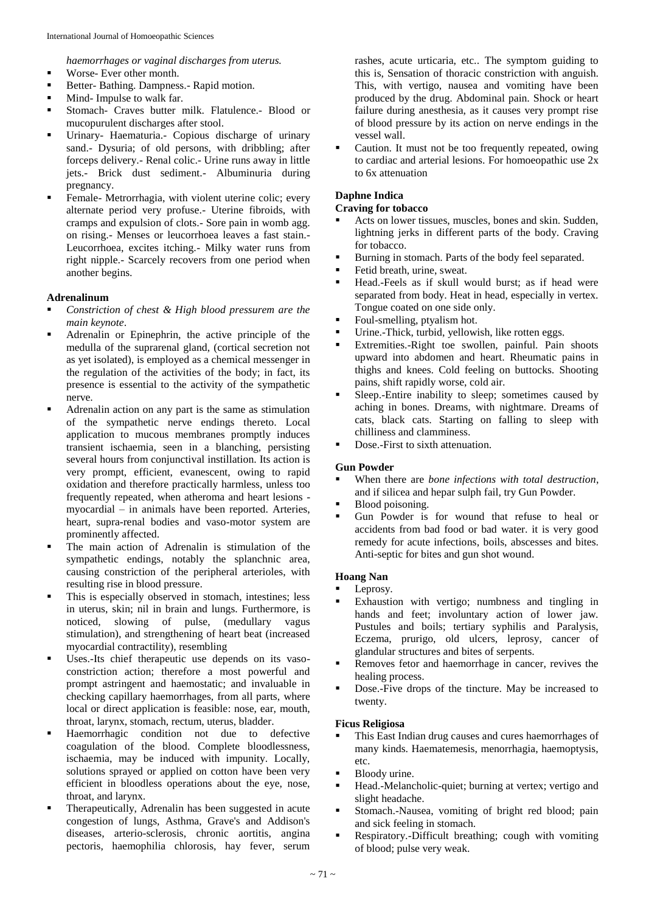*haemorrhages or vaginal discharges from uterus.*

- **Worse-** Ever other month.
- Better- Bathing. Dampness.- Rapid motion.
- Mind- Impulse to walk far.
- Stomach- Craves butter milk. Flatulence.- Blood or mucopurulent discharges after stool.
- Urinary- Haematuria.- Copious discharge of urinary sand.- Dysuria; of old persons, with dribbling; after forceps delivery.- Renal colic.- Urine runs away in little jets.- Brick dust sediment.- Albuminuria during pregnancy.
- Female- Metrorrhagia, with violent uterine colic; every alternate period very profuse.- Uterine fibroids, with cramps and expulsion of clots.- Sore pain in womb agg. on rising.- Menses or leucorrhoea leaves a fast stain.- Leucorrhoea, excites itching.- Milky water runs from right nipple.- Scarcely recovers from one period when another begins.

# **Adrenalinum**

- *Constriction of chest & High blood pressurem are the main keynote*.
- Adrenalin or Epinephrin, the active principle of the medulla of the suprarenal gland, (cortical secretion not as yet isolated), is employed as a chemical messenger in the regulation of the activities of the body; in fact, its presence is essential to the activity of the sympathetic nerve.
- Adrenalin action on any part is the same as stimulation of the sympathetic nerve endings thereto. Local application to mucous membranes promptly induces transient ischaemia, seen in a blanching, persisting several hours from conjunctival instillation. Its action is very prompt, efficient, evanescent, owing to rapid oxidation and therefore practically harmless, unless too frequently repeated, when atheroma and heart lesions myocardial – in animals have been reported. Arteries, heart, supra-renal bodies and vaso-motor system are prominently affected.
- The main action of Adrenalin is stimulation of the sympathetic endings, notably the splanchnic area, causing constriction of the peripheral arterioles, with resulting rise in blood pressure.
- This is especially observed in stomach, intestines; less in uterus, skin; nil in brain and lungs. Furthermore, is noticed, slowing of pulse, (medullary vagus stimulation), and strengthening of heart beat (increased myocardial contractility), resembling
- Uses.-Its chief therapeutic use depends on its vasoconstriction action; therefore a most powerful and prompt astringent and haemostatic; and invaluable in checking capillary haemorrhages, from all parts, where local or direct application is feasible: nose, ear, mouth, throat, larynx, stomach, rectum, uterus, bladder.
- Haemorrhagic condition not due to defective coagulation of the blood. Complete bloodlessness, ischaemia, may be induced with impunity. Locally, solutions sprayed or applied on cotton have been very efficient in bloodless operations about the eye, nose, throat, and larynx.
- Therapeutically, Adrenalin has been suggested in acute congestion of lungs, Asthma, Grave's and Addison's diseases, arterio-sclerosis, chronic aortitis, angina pectoris, haemophilia chlorosis, hay fever, serum

rashes, acute urticaria, etc.. The symptom guiding to this is, Sensation of thoracic constriction with anguish. This, with vertigo, nausea and vomiting have been produced by the drug. Abdominal pain. Shock or heart failure during anesthesia, as it causes very prompt rise of blood pressure by its action on nerve endings in the vessel wall.

 Caution. It must not be too frequently repeated, owing to cardiac and arterial lesions. For homoeopathic use 2x to 6x attenuation

# **Daphne Indica**

# **Craving for tobacco**

- Acts on lower tissues, muscles, bones and skin. Sudden, lightning jerks in different parts of the body. Craving for tobacco.
- Burning in stomach. Parts of the body feel separated.
- Fetid breath, urine, sweat.
- Head.-Feels as if skull would burst; as if head were separated from body. Heat in head, especially in vertex. Tongue coated on one side only.
- Foul-smelling, ptyalism hot.
- Urine.-Thick, turbid, yellowish, like rotten eggs.
- Extremities.-Right toe swollen, painful. Pain shoots upward into abdomen and heart. Rheumatic pains in thighs and knees. Cold feeling on buttocks. Shooting pains, shift rapidly worse, cold air.
- Sleep.-Entire inability to sleep; sometimes caused by aching in bones. Dreams, with nightmare. Dreams of cats, black cats. Starting on falling to sleep with chilliness and clamminess.
- Dose.-First to sixth attenuation.

# **Gun Powder**

- When there are *bone infections with total destruction*, and if silicea and hepar sulph fail, try Gun Powder.
- Blood poisoning.
- Gun Powder is for wound that refuse to heal or accidents from bad food or bad water. it is very good remedy for acute infections, boils, abscesses and bites. Anti-septic for bites and gun shot wound.

# **Hoang Nan**

- Leprosy.
- Exhaustion with vertigo; numbness and tingling in hands and feet; involuntary action of lower jaw. Pustules and boils; tertiary syphilis and Paralysis, Eczema, prurigo, old ulcers, leprosy, cancer of glandular structures and bites of serpents.
- Removes fetor and haemorrhage in cancer, revives the healing process.
- Dose.-Five drops of the tincture. May be increased to twenty.

# **Ficus Religiosa**

- This East Indian drug causes and cures haemorrhages of many kinds. Haematemesis, menorrhagia, haemoptysis, etc.
- **Bloody urine.**
- Head.-Melancholic-quiet; burning at vertex; vertigo and slight headache.
- Stomach.-Nausea, vomiting of bright red blood; pain and sick feeling in stomach.
- **Respiratory.-Difficult breathing; cough with vomiting** of blood; pulse very weak.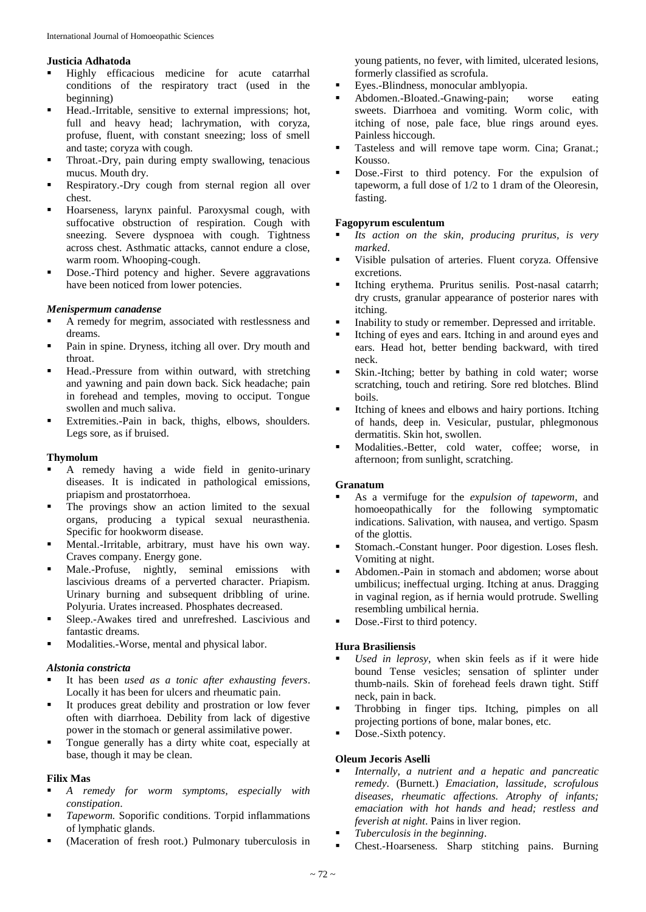#### **Justicia Adhatoda**

- Highly efficacious medicine for acute catarrhal conditions of the respiratory tract (used in the beginning)
- Head.-Irritable, sensitive to external impressions; hot, full and heavy head; lachrymation, with coryza, profuse, fluent, with constant sneezing; loss of smell and taste; coryza with cough.
- **Throat.-Dry, pain during empty swallowing, tenacious** mucus. Mouth dry.
- **Respiratory.-Dry cough from sternal region all over** chest.
- Hoarseness, larynx painful. Paroxysmal cough, with suffocative obstruction of respiration. Cough with sneezing. Severe dyspnoea with cough. Tightness across chest. Asthmatic attacks, cannot endure a close, warm room. Whooping-cough.
- Dose.-Third potency and higher. Severe aggravations have been noticed from lower potencies.

#### *Menispermum canadense*

- A remedy for megrim, associated with restlessness and dreams.
- **Pain in spine. Dryness, itching all over. Dry mouth and** throat.
- **Head.-Pressure from within outward, with stretching** and yawning and pain down back. Sick headache; pain in forehead and temples, moving to occiput. Tongue swollen and much saliva.
- Extremities.-Pain in back, thighs, elbows, shoulders. Legs sore, as if bruised.

#### **Thymolum**

- A remedy having a wide field in genito-urinary diseases. It is indicated in pathological emissions, priapism and prostatorrhoea.
- The provings show an action limited to the sexual organs, producing a typical sexual neurasthenia. Specific for hookworm disease.
- Mental.-Irritable, arbitrary, must have his own way. Craves company. Energy gone.
- Male.-Profuse, nightly, seminal emissions with lascivious dreams of a perverted character. Priapism. Urinary burning and subsequent dribbling of urine. Polyuria. Urates increased. Phosphates decreased.
- Sleep.-Awakes tired and unrefreshed. Lascivious and fantastic dreams.
- Modalities.-Worse, mental and physical labor.

#### *Alstonia constricta*

- It has been *used as a tonic after exhausting fevers*. Locally it has been for ulcers and rheumatic pain.
- It produces great debility and prostration or low fever often with diarrhoea. Debility from lack of digestive power in the stomach or general assimilative power.
- Tongue generally has a dirty white coat, especially at base, though it may be clean.

#### **Filix Mas**

- *A remedy for worm symptoms, especially with constipation*.
- **Tapeworm.** Soporific conditions. Torpid inflammations of lymphatic glands.
- (Maceration of fresh root.) Pulmonary tuberculosis in

young patients, no fever, with limited, ulcerated lesions, formerly classified as scrofula.

- Eyes.-Blindness, monocular amblyopia.
- Abdomen.-Bloated.-Gnawing-pain; worse eating sweets. Diarrhoea and vomiting. Worm colic, with itching of nose, pale face, blue rings around eyes. Painless hiccough.
- Tasteless and will remove tape worm. Cina; Granat.; Kousso.
- Dose.-First to third potency. For the expulsion of tapeworm, a full dose of 1/2 to 1 dram of the Oleoresin, fasting.

#### **Fagopyrum esculentum**

- *Its action on the skin, producing pruritus, is very marked*.
- Visible pulsation of arteries. Fluent coryza. Offensive excretions.
- Itching erythema. Pruritus senilis. Post-nasal catarrh; dry crusts, granular appearance of posterior nares with itching.
- Inability to study or remember. Depressed and irritable.
- Itching of eyes and ears. Itching in and around eyes and ears. Head hot, better bending backward, with tired neck.
- Skin.-Itching; better by bathing in cold water; worse scratching, touch and retiring. Sore red blotches. Blind boils.
- Itching of knees and elbows and hairy portions. Itching of hands, deep in. Vesicular, pustular, phlegmonous dermatitis. Skin hot, swollen.
- Modalities.-Better, cold water, coffee; worse, in afternoon; from sunlight, scratching.

#### **Granatum**

- As a vermifuge for the *expulsion of tapeworm*, and homoeopathically for the following symptomatic indications. Salivation, with nausea, and vertigo. Spasm of the glottis.
- Stomach.-Constant hunger. Poor digestion. Loses flesh. Vomiting at night.
- Abdomen.-Pain in stomach and abdomen; worse about umbilicus; ineffectual urging. Itching at anus. Dragging in vaginal region, as if hernia would protrude. Swelling resembling umbilical hernia.
- Dose.-First to third potency.

# **Hura Brasiliensis**

- *Used in leprosy*, when skin feels as if it were hide bound Tense vesicles; sensation of splinter under thumb-nails. Skin of forehead feels drawn tight. Stiff neck, pain in back.
- Throbbing in finger tips. Itching, pimples on all projecting portions of bone, malar bones, etc.
- Dose.-Sixth potency.

# **Oleum Jecoris Aselli**

- *Internally, a nutrient and a hepatic and pancreatic remedy*. (Burnett.) *Emaciation, lassitude, scrofulous diseases, rheumatic affections. Atrophy of infants; emaciation with hot hands and head; restless and feverish at night*. Pains in liver region.
- *Tuberculosis in the beginning*.
- Chest.-Hoarseness. Sharp stitching pains. Burning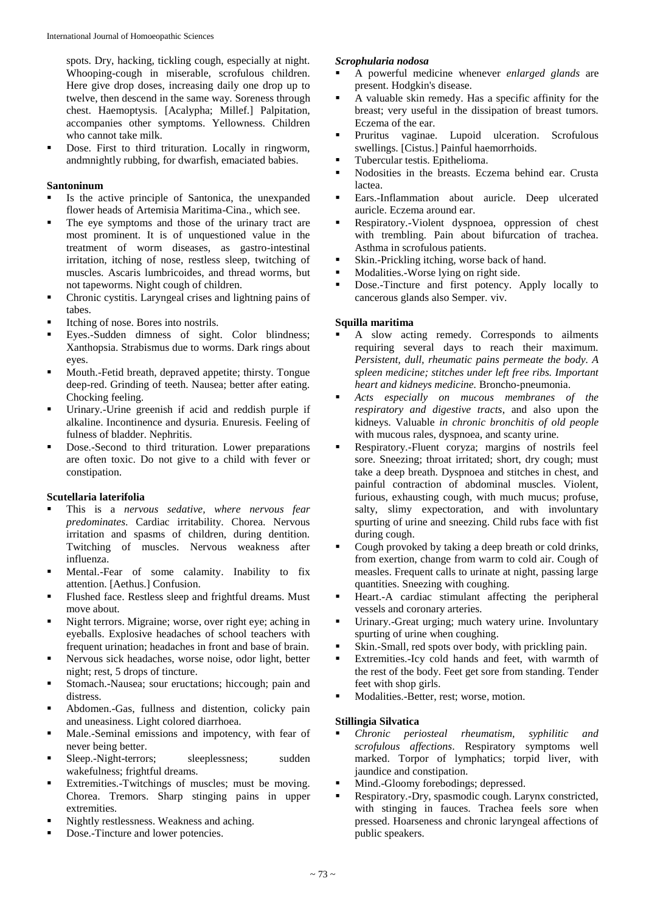spots. Dry, hacking, tickling cough, especially at night. Whooping-cough in miserable, scrofulous children. Here give drop doses, increasing daily one drop up to twelve, then descend in the same way. Soreness through chest. Haemoptysis. [Acalypha; Millef.] Palpitation, accompanies other symptoms. Yellowness. Children who cannot take milk.

Dose. First to third trituration. Locally in ringworm, andmnightly rubbing, for dwarfish, emaciated babies.

# **Santoninum**

- Is the active principle of Santonica, the unexpanded flower heads of Artemisia Maritima-Cina., which see.
- The eye symptoms and those of the urinary tract are most prominent. It is of unquestioned value in the treatment of worm diseases, as gastro-intestinal irritation, itching of nose, restless sleep, twitching of muscles. Ascaris lumbricoides, and thread worms, but not tapeworms. Night cough of children.
- Chronic cystitis. Laryngeal crises and lightning pains of tabes.
- Itching of nose. Bores into nostrils.
- Eyes.-Sudden dimness of sight. Color blindness; Xanthopsia. Strabismus due to worms. Dark rings about eyes.
- Mouth.-Fetid breath, depraved appetite; thirsty. Tongue deep-red. Grinding of teeth. Nausea; better after eating. Chocking feeling.
- Urinary.-Urine greenish if acid and reddish purple if alkaline. Incontinence and dysuria. Enuresis. Feeling of fulness of bladder. Nephritis.
- Dose.-Second to third trituration. Lower preparations are often toxic. Do not give to a child with fever or constipation.

# **Scutellaria laterifolia**

- This is a *nervous sedative, where nervous fear predominates*. Cardiac irritability. Chorea. Nervous irritation and spasms of children, during dentition. Twitching of muscles. Nervous weakness after influenza.
- Mental.-Fear of some calamity. Inability to fix attention. [Aethus.] Confusion.
- Flushed face. Restless sleep and frightful dreams. Must move about.
- Night terrors. Migraine; worse, over right eye; aching in eyeballs. Explosive headaches of school teachers with frequent urination; headaches in front and base of brain.
- Nervous sick headaches, worse noise, odor light, better night; rest, 5 drops of tincture.
- Stomach.-Nausea; sour eructations; hiccough; pain and distress.
- Abdomen.-Gas, fullness and distention, colicky pain and uneasiness. Light colored diarrhoea.
- Male.-Seminal emissions and impotency, with fear of never being better.
- **Sleep.-Night-terrors;** sleeplessness; sudden wakefulness; frightful dreams.
- **Extremities.-Twitchings of muscles; must be moving.** Chorea. Tremors. Sharp stinging pains in upper extremities.
- Nightly restlessness. Weakness and aching.
- Dose.-Tincture and lower potencies.

# *Scrophularia nodosa*

- A powerful medicine whenever *enlarged glands* are present. Hodgkin's disease.
- A valuable skin remedy. Has a specific affinity for the breast; very useful in the dissipation of breast tumors. Eczema of the ear.
- Pruritus vaginae. Lupoid ulceration. Scrofulous swellings. [Cistus.] Painful haemorrhoids.
- Tubercular testis. Epithelioma.<br>Nodosities in the breasts. Eq.
- Nodosities in the breasts. Eczema behind ear. Crusta lactea.
- Ears.-Inflammation about auricle. Deep ulcerated auricle. Eczema around ear.
- Respiratory.-Violent dyspnoea, oppression of chest with trembling. Pain about bifurcation of trachea. Asthma in scrofulous patients.
- Skin.-Prickling itching, worse back of hand.
- **Modalities.-Worse lying on right side.**
- Dose.-Tincture and first potency. Apply locally to cancerous glands also Semper. viv.

# **Squilla maritima**

- A slow acting remedy. Corresponds to ailments requiring several days to reach their maximum. *Persistent, dull, rheumatic pains permeate the body. A spleen medicine; stitches under left free ribs. Important heart and kidneys medicine.* Broncho-pneumonia.
- *Acts especially on mucous membranes of the respiratory and digestive tracts*, and also upon the kidneys. Valuable *in chronic bronchitis of old people*  with mucous rales, dyspnoea, and scanty urine.
- Respiratory.-Fluent coryza; margins of nostrils feel sore. Sneezing; throat irritated; short, dry cough; must take a deep breath. Dyspnoea and stitches in chest, and painful contraction of abdominal muscles. Violent, furious, exhausting cough, with much mucus; profuse, salty, slimy expectoration, and with involuntary spurting of urine and sneezing. Child rubs face with fist during cough.
- Cough provoked by taking a deep breath or cold drinks, from exertion, change from warm to cold air. Cough of measles. Frequent calls to urinate at night, passing large quantities. Sneezing with coughing.
- Heart.-A cardiac stimulant affecting the peripheral vessels and coronary arteries.
- Urinary.-Great urging; much watery urine. Involuntary spurting of urine when coughing.
- Skin.-Small, red spots over body, with prickling pain.
- Extremities.-Icy cold hands and feet, with warmth of the rest of the body. Feet get sore from standing. Tender feet with shop girls.
- Modalities.-Better, rest; worse, motion.

# **Stillingia Silvatica**

- *Chronic periosteal rheumatism, syphilitic and scrofulous affections*. Respiratory symptoms well marked. Torpor of lymphatics; torpid liver, with jaundice and constipation.
- Mind.-Gloomy forebodings; depressed.
- Respiratory.-Dry, spasmodic cough. Larynx constricted, with stinging in fauces. Trachea feels sore when pressed. Hoarseness and chronic laryngeal affections of public speakers.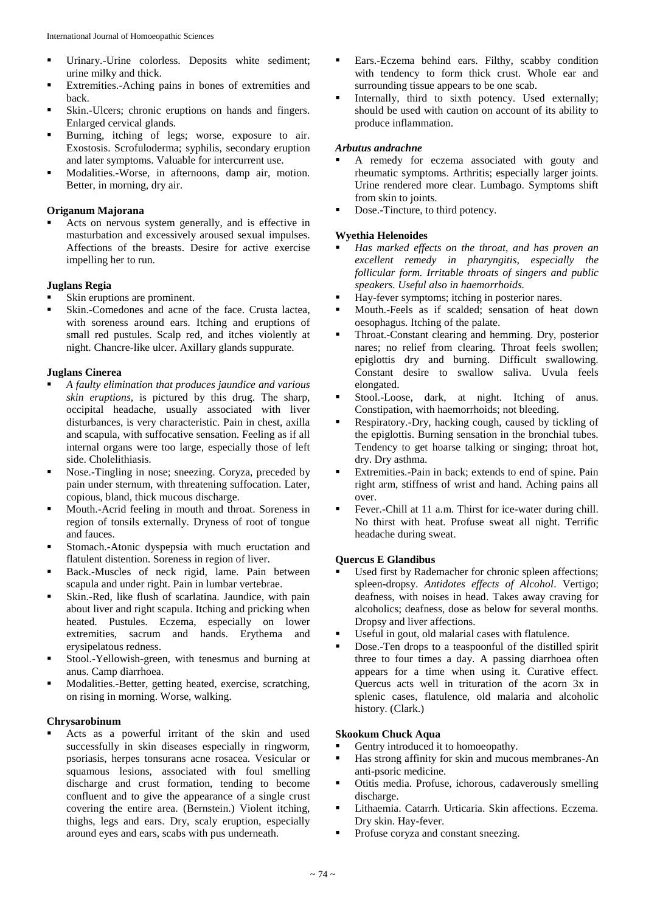- Urinary.-Urine colorless. Deposits white sediment; urine milky and thick.
- Extremities.-Aching pains in bones of extremities and back.
- Skin.-Ulcers; chronic eruptions on hands and fingers. Enlarged cervical glands.
- Burning, itching of legs; worse, exposure to air. Exostosis. Scrofuloderma; syphilis, secondary eruption and later symptoms. Valuable for intercurrent use.
- **Modalities.-Worse, in afternoons, damp air, motion.** Better, in morning, dry air.

# **Origanum Majorana**

 Acts on nervous system generally, and is effective in masturbation and excessively aroused sexual impulses. Affections of the breasts. Desire for active exercise impelling her to run.

# **Juglans Regia**

- Skin eruptions are prominent.
- Skin.-Comedones and acne of the face. Crusta lactea, with soreness around ears. Itching and eruptions of small red pustules. Scalp red, and itches violently at night. Chancre-like ulcer. Axillary glands suppurate.

# **Juglans Cinerea**

- *A faulty elimination that produces jaundice and various skin eruptions*, is pictured by this drug. The sharp, occipital headache, usually associated with liver disturbances, is very characteristic. Pain in chest, axilla and scapula, with suffocative sensation. Feeling as if all internal organs were too large, especially those of left side. Cholelithiasis.
- Nose.-Tingling in nose; sneezing. Coryza, preceded by pain under sternum, with threatening suffocation. Later, copious, bland, thick mucous discharge.
- **Mouth.-Acrid feeling in mouth and throat. Soreness in** region of tonsils externally. Dryness of root of tongue and fauces.
- **Stomach.-Atonic dyspepsia with much eructation and** flatulent distention. Soreness in region of liver.
- Back.-Muscles of neck rigid, lame. Pain between scapula and under right. Pain in lumbar vertebrae.
- Skin.-Red, like flush of scarlatina. Jaundice, with pain about liver and right scapula. Itching and pricking when heated. Pustules. Eczema, especially on lower extremities, sacrum and hands. Erythema and erysipelatous redness.
- Stool.-Yellowish-green, with tenesmus and burning at anus. Camp diarrhoea.
- Modalities.-Better, getting heated, exercise, scratching, on rising in morning. Worse, walking.

# **Chrysarobinum**

 Acts as a powerful irritant of the skin and used successfully in skin diseases especially in ringworm, psoriasis, herpes tonsurans acne rosacea. Vesicular or squamous lesions, associated with foul smelling discharge and crust formation, tending to become confluent and to give the appearance of a single crust covering the entire area. (Bernstein.) Violent itching, thighs, legs and ears. Dry, scaly eruption, especially around eyes and ears, scabs with pus underneath.

- Ears.-Eczema behind ears. Filthy, scabby condition with tendency to form thick crust. Whole ear and surrounding tissue appears to be one scab.
- Internally, third to sixth potency. Used externally; should be used with caution on account of its ability to produce inflammation.

# *Arbutus andrachne*

- A remedy for eczema associated with gouty and rheumatic symptoms. Arthritis; especially larger joints. Urine rendered more clear. Lumbago. Symptoms shift from skin to joints.
- Dose.-Tincture, to third potency.

# **Wyethia Helenoides**

- *Has marked effects on the throat, and has proven an excellent remedy in pharyngitis, especially the follicular form. Irritable throats of singers and public speakers. Useful also in haemorrhoids.*
- Hay-fever symptoms; itching in posterior nares.
- Mouth.-Feels as if scalded; sensation of heat down oesophagus. Itching of the palate.
- Throat.-Constant clearing and hemming. Dry, posterior nares; no relief from clearing. Throat feels swollen; epiglottis dry and burning. Difficult swallowing. Constant desire to swallow saliva. Uvula feels elongated.
- Stool.-Loose, dark, at night. Itching of anus. Constipation, with haemorrhoids; not bleeding.
- Respiratory.-Dry, hacking cough, caused by tickling of the epiglottis. Burning sensation in the bronchial tubes. Tendency to get hoarse talking or singing; throat hot, dry. Dry asthma.
- Extremities.-Pain in back; extends to end of spine. Pain right arm, stiffness of wrist and hand. Aching pains all over.
- Fever.-Chill at 11 a.m. Thirst for ice-water during chill. No thirst with heat. Profuse sweat all night. Terrific headache during sweat.

# **Quercus E Glandibus**

- Used first by Rademacher for chronic spleen affections; spleen-dropsy. *Antidotes effects of Alcohol*. Vertigo; deafness, with noises in head. Takes away craving for alcoholics; deafness, dose as below for several months. Dropsy and liver affections.
- Useful in gout, old malarial cases with flatulence.
- Dose.-Ten drops to a teaspoonful of the distilled spirit three to four times a day. A passing diarrhoea often appears for a time when using it. Curative effect. Quercus acts well in trituration of the acorn 3x in splenic cases, flatulence, old malaria and alcoholic history. (Clark.)

# **Skookum Chuck Aqua**

- Gentry introduced it to homoeopathy.
- Has strong affinity for skin and mucous membranes-An anti-psoric medicine.
- Otitis media. Profuse, ichorous, cadaverously smelling discharge.
- Lithaemia. Catarrh. Urticaria. Skin affections. Eczema. Dry skin. Hay-fever.
- Profuse coryza and constant sneezing.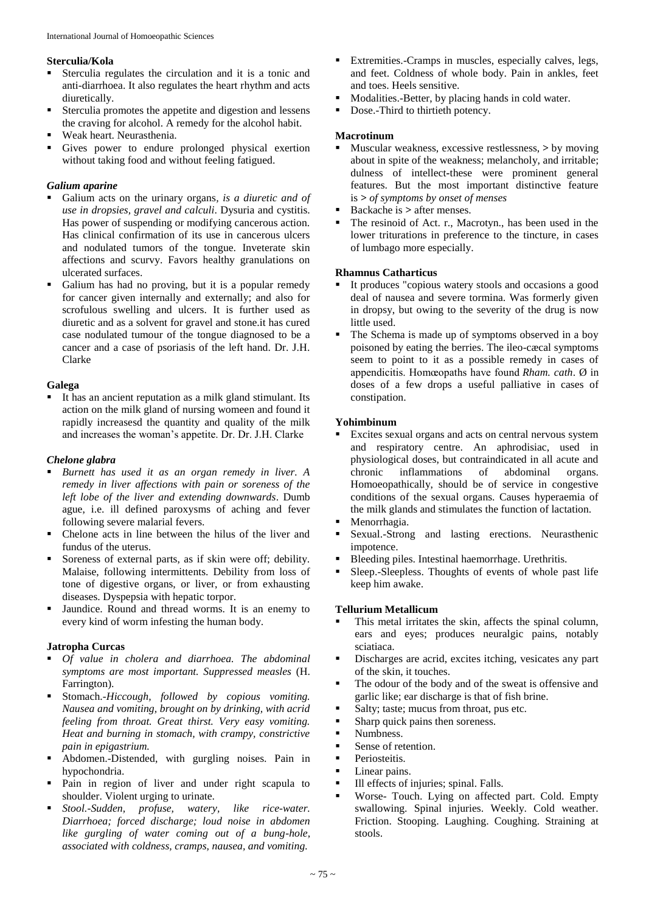# **Sterculia/Kola**

- Sterculia regulates the circulation and it is a tonic and anti-diarrhoea. It also regulates the heart rhythm and acts diuretically.
- Sterculia promotes the appetite and digestion and lessens the craving for alcohol. A remedy for the alcohol habit.
- Weak heart. Neurasthenia.
- Gives power to endure prolonged physical exertion without taking food and without feeling fatigued.

# *Galium aparine*

- Galium acts on the urinary organs*, is a diuretic and of use in dropsies, gravel and calculi*. Dysuria and cystitis. Has power of suspending or modifying cancerous action. Has clinical confirmation of its use in cancerous ulcers and nodulated tumors of the tongue. Inveterate skin affections and scurvy. Favors healthy granulations on ulcerated surfaces.
- Galium has had no proving, but it is a popular remedy for cancer given internally and externally; and also for scrofulous swelling and ulcers. It is further used as diuretic and as a solvent for gravel and stone.it has cured case nodulated tumour of the tongue diagnosed to be a cancer and a case of psoriasis of the left hand. Dr. J.H. Clarke

# **Galega**

 It has an ancient reputation as a milk gland stimulant. Its action on the milk gland of nursing womeen and found it rapidly increasesd the quantity and quality of the milk and increases the woman's appetite. Dr. Dr. J.H. Clarke

# *Chelone glabra*

- *Burnett has used it as an organ remedy in liver. A remedy in liver affections with pain or soreness of the left lobe of the liver and extending downwards*. Dumb ague, i.e. ill defined paroxysms of aching and fever following severe malarial fevers.
- Chelone acts in line between the hilus of the liver and fundus of the uterus.
- Soreness of external parts, as if skin were off; debility. Malaise, following intermittents. Debility from loss of tone of digestive organs, or liver, or from exhausting diseases. Dyspepsia with hepatic torpor.
- Jaundice. Round and thread worms. It is an enemy to every kind of worm infesting the human body.

# **Jatropha Curcas**

- *Of value in cholera and diarrhoea. The abdominal symptoms are most important. Suppressed measles* (H. Farrington).
- Stomach.-*Hiccough, followed by copious vomiting. Nausea and vomiting, brought on by drinking, with acrid feeling from throat. Great thirst. Very easy vomiting. Heat and burning in stomach, with crampy, constrictive pain in epigastrium.*
- Abdomen.-Distended, with gurgling noises. Pain in hypochondria.
- Pain in region of liver and under right scapula to shoulder. Violent urging to urinate.
- *Stool.-Sudden, profuse, watery, like rice-water. Diarrhoea; forced discharge; loud noise in abdomen like gurgling of water coming out of a bung-hole, associated with coldness, cramps, nausea, and vomiting.*
- Extremities.-Cramps in muscles, especially calves, legs, and feet. Coldness of whole body. Pain in ankles, feet and toes. Heels sensitive.
- Modalities.-Better, by placing hands in cold water.
- Dose.-Third to thirtieth potency.

# **Macrotinum**

- Muscular weakness, excessive restlessness, **>** by moving about in spite of the weakness; melancholy, and irritable; dulness of intellect*-*these were prominent general features. But the most important distinctive feature is *> of symptoms by onset of menses*
- Backache is **>** after menses.
- The resinoid of Act. r., Macrotyn., has been used in the lower triturations in preference to the tincture, in cases of lumbago more especially.

# **Rhamnus Catharticus**

- It produces "copious watery stools and occasions a good deal of nausea and severe tormina. Was formerly given in dropsy, but owing to the severity of the drug is now little used.
- The Schema is made up of symptoms observed in a boy poisoned by eating the berries. The ileo-cæcal symptoms seem to point to it as a possible remedy in cases of appendicitis. Homœopaths have found *Rham. cath*. Ø in doses of a few drops a useful palliative in cases of constipation.

#### **Yohimbinum**

- Excites sexual organs and acts on central nervous system and respiratory centre. An aphrodisiac, used in physiological doses, but contraindicated in all acute and chronic inflammations of abdominal organs. inflammations of abdominal organs. Homoeopathically, should be of service in congestive conditions of the sexual organs. Causes hyperaemia of the milk glands and stimulates the function of lactation.
- Menorrhagia.
- Sexual.-Strong and lasting erections. Neurasthenic impotence.
- Bleeding piles. Intestinal haemorrhage. Urethritis.
- Sleep.-Sleepless. Thoughts of events of whole past life keep him awake.

# **Tellurium Metallicum**

- This metal irritates the skin, affects the spinal column, ears and eyes; produces neuralgic pains, notably sciatiaca.
- Discharges are acrid, excites itching, vesicates any part of the skin, it touches.
- The odour of the body and of the sweat is offensive and garlic like; ear discharge is that of fish brine.
- Salty; taste; mucus from throat, pus etc.
- **Sharp quick pains then soreness.**
- **Numbness.**
- Sense of retention.
- **Periosteitis.**
- **Linear pains.**
- Ill effects of injuries; spinal. Falls.
- Worse- Touch. Lying on affected part. Cold. Empty swallowing. Spinal injuries. Weekly. Cold weather. Friction. Stooping. Laughing. Coughing. Straining at stools.